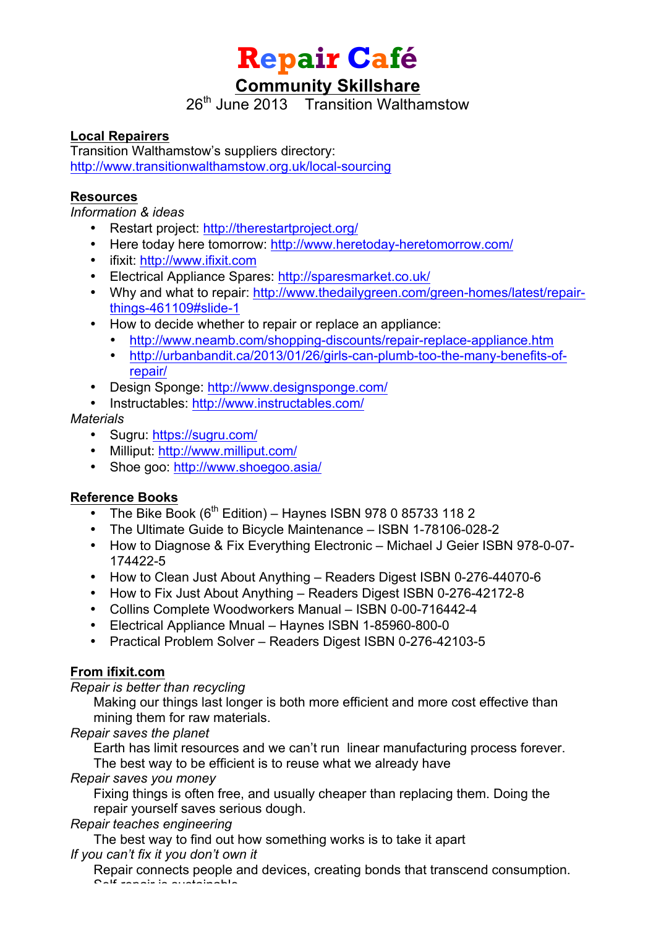**Repair Café**

# **Community Skillshare**

 $26<sup>th</sup>$  June 2013 Transition Walthamstow

#### **Local Repairers**

Transition Walthamstow's suppliers directory: http://www.transitionwalthamstow.org.uk/local-sourcing

#### **Resources**

*Information & ideas*

- Restart project: http://therestartproject.org/
- Here today here tomorrow: http://www.heretoday-heretomorrow.com/
- ifixit: http://www.ifixit.com
- Electrical Appliance Spares: http://sparesmarket.co.uk/
- Why and what to repair: http://www.thedailygreen.com/green-homes/latest/repairthings-461109#slide-1
- How to decide whether to repair or replace an appliance:
	- http://www.neamb.com/shopping-discounts/repair-replace-appliance.htm
	- http://urbanbandit.ca/2013/01/26/girls-can-plumb-too-the-many-benefits-ofrepair/
- Design Sponge: http://www.designsponge.com/
- Instructables: http://www.instructables.com/

#### *Materials*

- Sugru: https://sugru.com/
- Milliput: http://www.milliput.com/
- Shoe goo: http://www.shoegoo.asia/

## **Reference Books**

- The Bike Book ( $6<sup>th</sup>$  Edition) Haynes ISBN 978 0 85733 118 2
- The Ultimate Guide to Bicycle Maintenance ISBN 1-78106-028-2
- How to Diagnose & Fix Everything Electronic Michael J Geier ISBN 978-0-07- 174422-5
- How to Clean Just About Anything Readers Digest ISBN 0-276-44070-6
- How to Fix Just About Anything Readers Digest ISBN 0-276-42172-8
- Collins Complete Woodworkers Manual ISBN 0-00-716442-4
- Electrical Appliance Mnual Haynes ISBN 1-85960-800-0
- Practical Problem Solver Readers Digest ISBN 0-276-42103-5

## **From ifixit.com**

#### *Repair is better than recycling*

Making our things last longer is both more efficient and more cost effective than mining them for raw materials.

#### *Repair saves the planet*

Earth has limit resources and we can't run linear manufacturing process forever. The best way to be efficient is to reuse what we already have

#### *Repair saves you money*

Fixing things is often free, and usually cheaper than replacing them. Doing the repair yourself saves serious dough.

#### *Repair teaches engineering*

The best way to find out how something works is to take it apart *If you can't fix it you don't own it*

Repair connects people and devices, creating bonds that transcend consumption. Self-repair is sustainable.